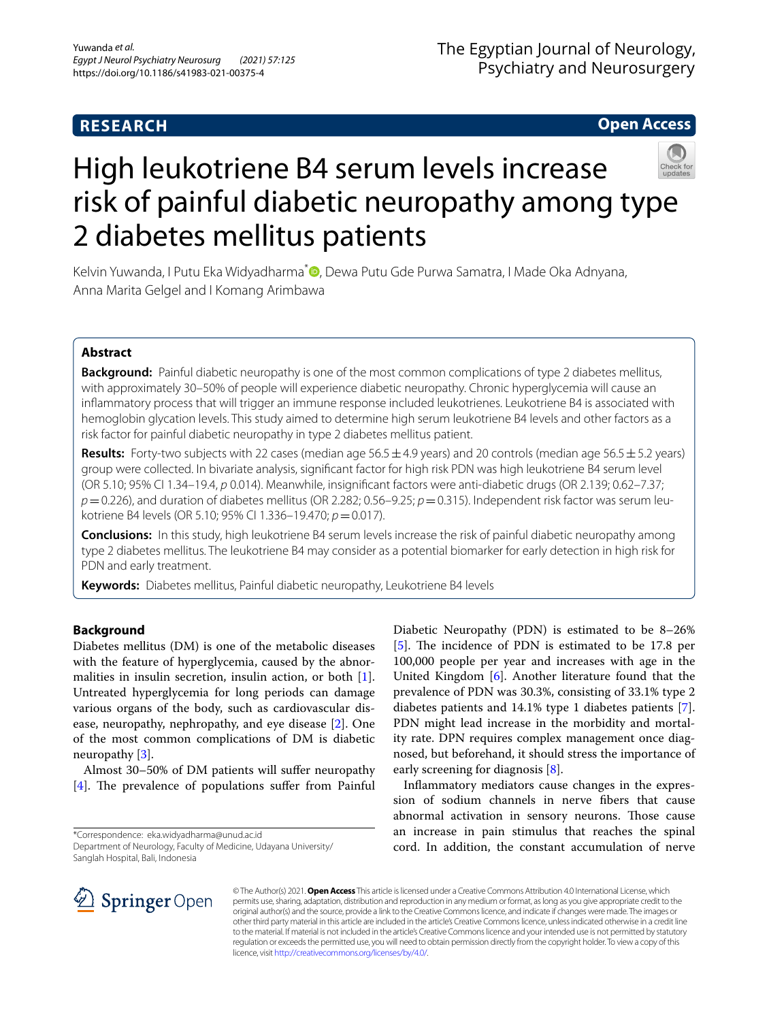# **RESEARCH**

**Open Access**

# High leukotriene B4 serum levels increase risk of painful diabetic neuropathy among type 2 diabetes mellitus patients

Kelvin Yuwanda[,](http://orcid.org/0000-0002-4554-0348) I Putu Eka Widyadharma<sup>\*</sup> D, Dewa Putu Gde Purwa Samatra, I Made Oka Adnyana, Anna Marita Gelgel and I Komang Arimbawa

# **Abstract**

**Background:** Painful diabetic neuropathy is one of the most common complications of type 2 diabetes mellitus, with approximately 30–50% of people will experience diabetic neuropathy. Chronic hyperglycemia will cause an infammatory process that will trigger an immune response included leukotrienes. Leukotriene B4 is associated with hemoglobin glycation levels. This study aimed to determine high serum leukotriene B4 levels and other factors as a risk factor for painful diabetic neuropathy in type 2 diabetes mellitus patient.

**Results:** Forty-two subjects with 22 cases (median age 56.5±4.9 years) and 20 controls (median age 56.5±5.2 years) group were collected. In bivariate analysis, signifcant factor for high risk PDN was high leukotriene B4 serum level (OR 5.10; 95% CI 1.34–19.4, *p* 0.014). Meanwhile, insignifcant factors were anti-diabetic drugs (OR 2.139; 0.62–7.37;  $p=0.226$ ), and duration of diabetes mellitus (OR 2.282; 0.56–9.25;  $p=0.315$ ). Independent risk factor was serum leukotriene B4 levels (OR 5.10; 95% CI 1.336–19.470; *p*=0.017).

**Conclusions:** In this study, high leukotriene B4 serum levels increase the risk of painful diabetic neuropathy among type 2 diabetes mellitus. The leukotriene B4 may consider as a potential biomarker for early detection in high risk for PDN and early treatment.

**Keywords:** Diabetes mellitus, Painful diabetic neuropathy, Leukotriene B4 levels

# **Background**

Diabetes mellitus (DM) is one of the metabolic diseases with the feature of hyperglycemia, caused by the abnormalities in insulin secretion, insulin action, or both [\[1](#page-3-0)]. Untreated hyperglycemia for long periods can damage various organs of the body, such as cardiovascular disease, neuropathy, nephropathy, and eye disease [\[2](#page-3-1)]. One of the most common complications of DM is diabetic neuropathy [[3\]](#page-3-2).

Almost 30–50% of DM patients will sufer neuropathy [[4\]](#page-3-3). The prevalence of populations suffer from Painful

\*Correspondence: eka.widyadharma@unud.ac.id

Diabetic Neuropathy (PDN) is estimated to be 8–26% [[5\]](#page-3-4). The incidence of PDN is estimated to be 17.8 per 100,000 people per year and increases with age in the United Kingdom [\[6](#page-3-5)]. Another literature found that the prevalence of PDN was 30.3%, consisting of 33.1% type 2 diabetes patients and 14.1% type 1 diabetes patients [\[7](#page-3-6)]. PDN might lead increase in the morbidity and mortality rate. DPN requires complex management once diagnosed, but beforehand, it should stress the importance of early screening for diagnosis [\[8](#page-4-0)].

Infammatory mediators cause changes in the expression of sodium channels in nerve fbers that cause abnormal activation in sensory neurons. Those cause an increase in pain stimulus that reaches the spinal cord. In addition, the constant accumulation of nerve



© The Author(s) 2021. **Open Access** This article is licensed under a Creative Commons Attribution 4.0 International License, which permits use, sharing, adaptation, distribution and reproduction in any medium or format, as long as you give appropriate credit to the original author(s) and the source, provide a link to the Creative Commons licence, and indicate if changes were made. The images or other third party material in this article are included in the article's Creative Commons licence, unless indicated otherwise in a credit line to the material. If material is not included in the article's Creative Commons licence and your intended use is not permitted by statutory regulation or exceeds the permitted use, you will need to obtain permission directly from the copyright holder. To view a copy of this licence, visit [http://creativecommons.org/licenses/by/4.0/.](http://creativecommons.org/licenses/by/4.0/)

Department of Neurology, Faculty of Medicine, Udayana University/ Sanglah Hospital, Bali, Indonesia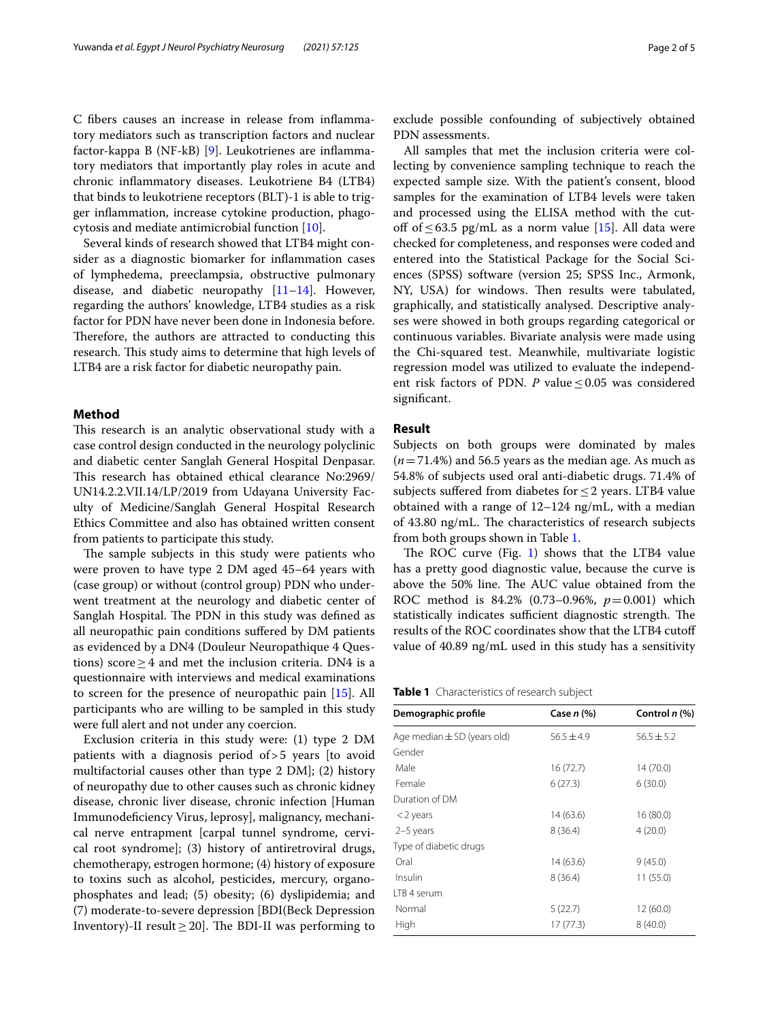C fbers causes an increase in release from infammatory mediators such as transcription factors and nuclear factor-kappa B (NF-kB) [\[9](#page-4-1)]. Leukotrienes are infammatory mediators that importantly play roles in acute and chronic infammatory diseases. Leukotriene B4 (LTB4) that binds to leukotriene receptors (BLT)-1 is able to trigger infammation, increase cytokine production, phagocytosis and mediate antimicrobial function [[10\]](#page-4-2).

Several kinds of research showed that LTB4 might consider as a diagnostic biomarker for infammation cases of lymphedema, preeclampsia, obstructive pulmonary disease, and diabetic neuropathy [[11–](#page-4-3)[14\]](#page-4-4). However, regarding the authors' knowledge, LTB4 studies as a risk factor for PDN have never been done in Indonesia before. Therefore, the authors are attracted to conducting this research. This study aims to determine that high levels of LTB4 are a risk factor for diabetic neuropathy pain.

# **Method**

This research is an analytic observational study with a case control design conducted in the neurology polyclinic and diabetic center Sanglah General Hospital Denpasar. This research has obtained ethical clearance No:2969/ UN14.2.2.VII.14/LP/2019 from Udayana University Faculty of Medicine/Sanglah General Hospital Research Ethics Committee and also has obtained written consent from patients to participate this study.

The sample subjects in this study were patients who were proven to have type 2 DM aged 45–64 years with (case group) or without (control group) PDN who underwent treatment at the neurology and diabetic center of Sanglah Hospital. The PDN in this study was defined as all neuropathic pain conditions sufered by DM patients as evidenced by a DN4 (Douleur Neuropathique 4 Questions) score  $\geq$  4 and met the inclusion criteria. DN4 is a questionnaire with interviews and medical examinations to screen for the presence of neuropathic pain [[15](#page-4-5)]. All participants who are willing to be sampled in this study were full alert and not under any coercion.

Exclusion criteria in this study were: (1) type 2 DM patients with a diagnosis period of>5 years [to avoid multifactorial causes other than type 2 DM]; (2) history of neuropathy due to other causes such as chronic kidney disease, chronic liver disease, chronic infection [Human Immunodefciency Virus, leprosy], malignancy, mechanical nerve entrapment [carpal tunnel syndrome, cervical root syndrome]; (3) history of antiretroviral drugs, chemotherapy, estrogen hormone; (4) history of exposure to toxins such as alcohol, pesticides, mercury, organophosphates and lead; (5) obesity; (6) dyslipidemia; and (7) moderate-to-severe depression [BDI(Beck Depression Inventory)-II result  $\geq$  20]. The BDI-II was performing to exclude possible confounding of subjectively obtained PDN assessments.

All samples that met the inclusion criteria were collecting by convenience sampling technique to reach the expected sample size. With the patient's consent, blood samples for the examination of LTB4 levels were taken and processed using the ELISA method with the cut-off of ≤63.5 pg/mL as a norm value [\[15](#page-4-5)]. All data were checked for completeness, and responses were coded and entered into the Statistical Package for the Social Sciences (SPSS) software (version 25; SPSS Inc., Armonk, NY, USA) for windows. Then results were tabulated, graphically, and statistically analysed. Descriptive analyses were showed in both groups regarding categorical or continuous variables. Bivariate analysis were made using the Chi-squared test. Meanwhile, multivariate logistic regression model was utilized to evaluate the independent risk factors of PDN. *P* value  $\leq 0.05$  was considered significant.

# **Result**

Subjects on both groups were dominated by males (*n*=71.4%) and 56.5 years as the median age. As much as 54.8% of subjects used oral anti-diabetic drugs. 71.4% of subjects suffered from diabetes for  $\leq$  2 years. LTB4 value obtained with a range of 12–124 ng/mL, with a median of 43.80 ng/mL. The characteristics of research subjects from both groups shown in Table [1.](#page-1-0)

The ROC curve (Fig. [1\)](#page-2-0) shows that the LTB4 value has a pretty good diagnostic value, because the curve is above the 50% line. The AUC value obtained from the ROC method is 84.2% (0.73–0.96%, *p*=0.001) which statistically indicates sufficient diagnostic strength. The results of the ROC coordinates show that the LTB4 cutof value of 40.89 ng/mL used in this study has a sensitivity

<span id="page-1-0"></span>

|  |  | Table 1 Characteristics of research subject |  |  |  |  |
|--|--|---------------------------------------------|--|--|--|--|
|--|--|---------------------------------------------|--|--|--|--|

| Demographic profile             | Case <i>n</i> (%) | Control $n$ (%) |
|---------------------------------|-------------------|-----------------|
| Age median $\pm$ SD (years old) | $56.5 \pm 4.9$    | $56.5 \pm 5.2$  |
| Gender                          |                   |                 |
| Male                            | 16 (72.7)         | 14 (70.0)       |
| Female                          | 6(27.3)           | 6(30.0)         |
| Duration of DM                  |                   |                 |
| $<$ 2 years                     | 14 (63.6)         | 16 (80.0)       |
| $2-5$ years                     | 8(36.4)           | 4(20.0)         |
| Type of diabetic drugs          |                   |                 |
| Oral                            | 14 (63.6)         | 9(45.0)         |
| Insulin                         | 8(36.4)           | 11 (55.0)       |
| LTB 4 serum                     |                   |                 |
| Normal                          | 5(22.7)           | 12 (60.0)       |
| High                            | 17 (77.3)         | 8(40.0)         |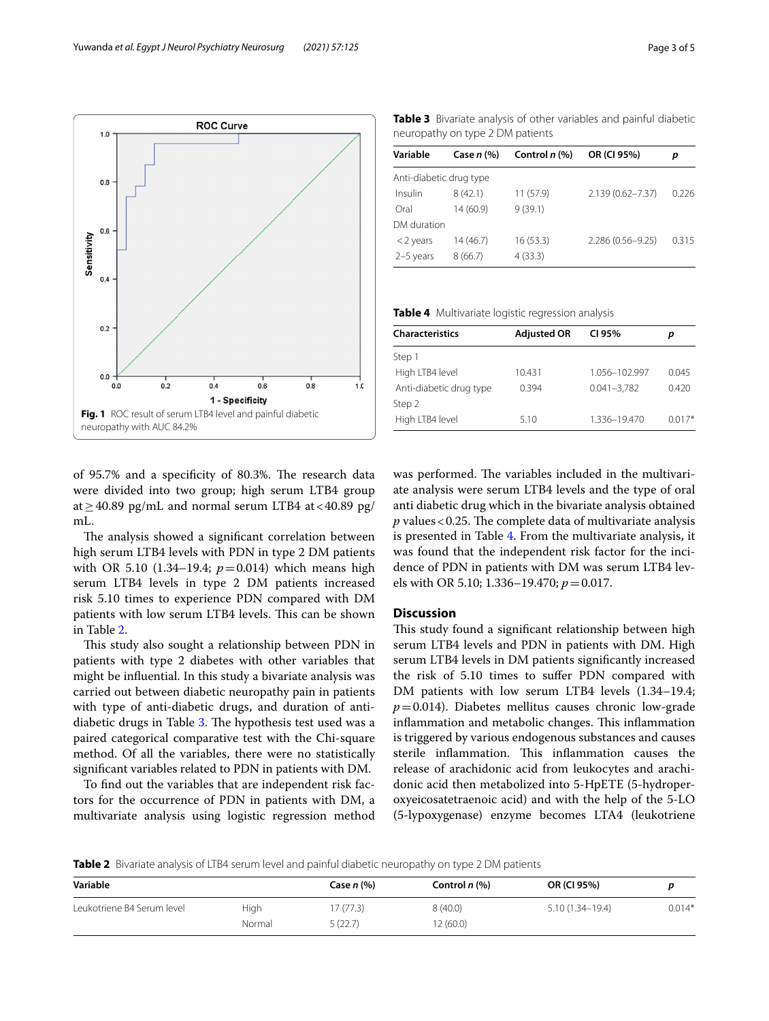<span id="page-2-0"></span>of 95.7% and a specificity of 80.3%. The research data were divided into two group; high serum LTB4 group at  $\geq$  40.89 pg/mL and normal serum LTB4 at < 40.89 pg/ mL.

The analysis showed a significant correlation between high serum LTB4 levels with PDN in type 2 DM patients with OR 5.10 (1.34–19.4;  $p=0.014$ ) which means high serum LTB4 levels in type 2 DM patients increased risk 5.10 times to experience PDN compared with DM patients with low serum LTB4 levels. This can be shown in Table [2](#page-2-1).

This study also sought a relationship between PDN in patients with type 2 diabetes with other variables that might be infuential. In this study a bivariate analysis was carried out between diabetic neuropathy pain in patients with type of anti-diabetic drugs, and duration of anti-diabetic drugs in Table [3.](#page-2-2) The hypothesis test used was a paired categorical comparative test with the Chi-square method. Of all the variables, there were no statistically signifcant variables related to PDN in patients with DM.

To fnd out the variables that are independent risk factors for the occurrence of PDN in patients with DM, a multivariate analysis using logistic regression method was performed. The variables included in the multivariate analysis were serum LTB4 levels and the type of oral anti diabetic drug which in the bivariate analysis obtained  $p$  values < 0.25. The complete data of multivariate analysis is presented in Table [4.](#page-2-3) From the multivariate analysis, it was found that the independent risk factor for the incidence of PDN in patients with DM was serum LTB4 levels with OR 5.10; 1.336–19.470; *p*=0.017.

# **Discussion**

This study found a significant relationship between high serum LTB4 levels and PDN in patients with DM. High serum LTB4 levels in DM patients signifcantly increased the risk of 5.10 times to sufer PDN compared with DM patients with low serum LTB4 levels (1.34–19.4;  $p=0.014$ ). Diabetes mellitus causes chronic low-grade inflammation and metabolic changes. This inflammation is triggered by various endogenous substances and causes sterile inflammation. This inflammation causes the release of arachidonic acid from leukocytes and arachidonic acid then metabolized into 5-HpETE (5-hydroperoxyeicosatetraenoic acid) and with the help of the 5-LO (5-lypoxygenase) enzyme becomes LTA4 (leukotriene

<span id="page-2-1"></span>**Table 2** Bivariate analysis of LTB4 serum level and painful diabetic neuropathy on type 2 DM patients

| Variable                   |        | Case $n \, (%)$ | Control <i>n</i> (%) | OR (CI 95%)         |          |
|----------------------------|--------|-----------------|----------------------|---------------------|----------|
| Leukotriene B4 Serum level | High   | 7(77.3)         | 8(40.0)              | $5.10(1.34 - 19.4)$ | $0.014*$ |
|                            | Normal | 5(22.7)         | 2(60.0)              |                     |          |

<span id="page-2-2"></span>**Table 3** Bivariate analysis of other variables and painful diabetic neuropathy on type 2 DM patients

| Variable                | Case $n \, (%)$ | Control $n$ (%) | OR (CI 95%)       | р     |
|-------------------------|-----------------|-----------------|-------------------|-------|
| Anti-diabetic drug type |                 |                 |                   |       |
| Insulin                 | 8(42.1)         | 11(57.9)        | 2.139 (0.62-7.37) | 0.226 |
| Oral                    | 14(60.9)        | 9(39.1)         |                   |       |
| DM duration             |                 |                 |                   |       |
| $<$ 2 years             | 14(46.7)        | 16(53.3)        | 2.286 (0.56-9.25) | 0.315 |
| 2-5 years               | 8(66.7)         | 4(33.3)         |                   |       |

<span id="page-2-3"></span>**Table 4** Multivariate logistic regression analysis

| <b>Characteristics</b>  | <b>Adjusted OR</b> | CI 95%          | р        |
|-------------------------|--------------------|-----------------|----------|
| Step 1                  |                    |                 |          |
| High LTB4 level         | 10.431             | 1.056-102.997   | 0.045    |
| Anti-diabetic drug type | 0.394              | $0.041 - 3.782$ | 0.420    |
| Step 2                  |                    |                 |          |
| High LTB4 level         | 5.10               | 1.336-19.470    | $0.017*$ |
|                         |                    |                 |          |

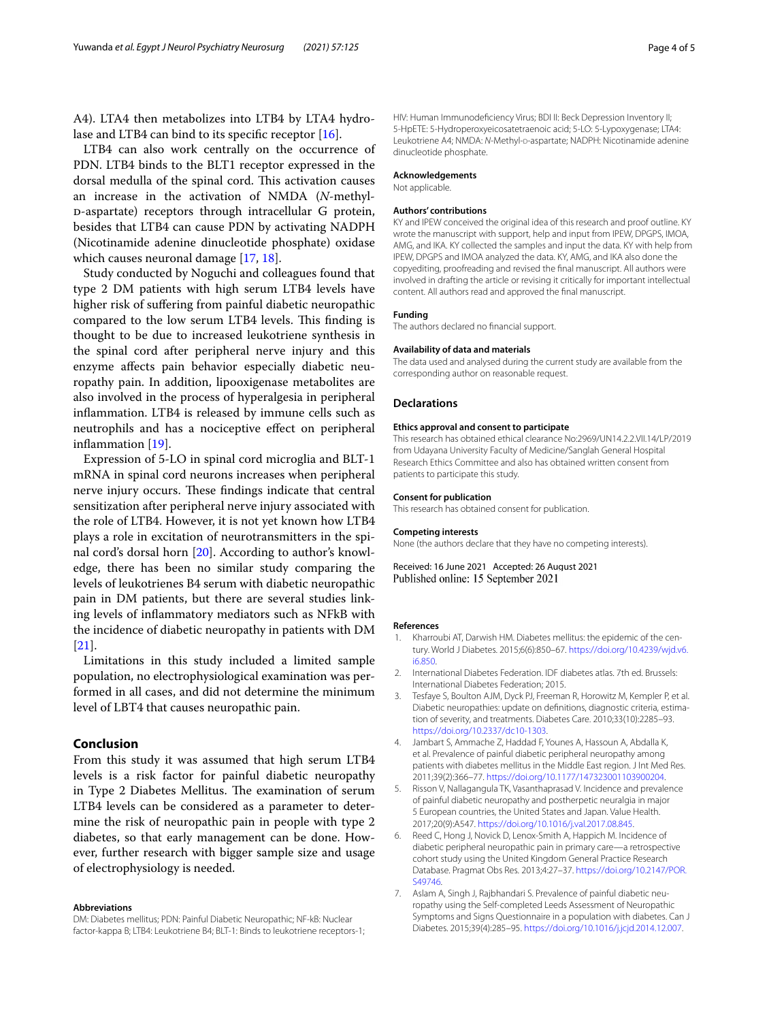A4). LTA4 then metabolizes into LTB4 by LTA4 hydro-lase and LTB4 can bind to its specific receptor [[16\]](#page-4-6).

LTB4 can also work centrally on the occurrence of PDN. LTB4 binds to the BLT1 receptor expressed in the dorsal medulla of the spinal cord. This activation causes an increase in the activation of NMDA (*N*-methyld-aspartate) receptors through intracellular G protein, besides that LTB4 can cause PDN by activating NADPH (Nicotinamide adenine dinucleotide phosphate) oxidase which causes neuronal damage [[17](#page-4-7), [18\]](#page-4-8).

Study conducted by Noguchi and colleagues found that type 2 DM patients with high serum LTB4 levels have higher risk of sufering from painful diabetic neuropathic compared to the low serum LTB4 levels. This finding is thought to be due to increased leukotriene synthesis in the spinal cord after peripheral nerve injury and this enzyme afects pain behavior especially diabetic neuropathy pain. In addition, lipooxigenase metabolites are also involved in the process of hyperalgesia in peripheral infammation. LTB4 is released by immune cells such as neutrophils and has a nociceptive efect on peripheral inflammation [[19](#page-4-9)].

Expression of 5-LO in spinal cord microglia and BLT-1 mRNA in spinal cord neurons increases when peripheral nerve injury occurs. These findings indicate that central sensitization after peripheral nerve injury associated with the role of LTB4. However, it is not yet known how LTB4 plays a role in excitation of neurotransmitters in the spinal cord's dorsal horn [\[20\]](#page-4-10). According to author's knowledge, there has been no similar study comparing the levels of leukotrienes B4 serum with diabetic neuropathic pain in DM patients, but there are several studies linking levels of infammatory mediators such as NFkB with the incidence of diabetic neuropathy in patients with DM [[21\]](#page-4-11).

Limitations in this study included a limited sample population, no electrophysiological examination was performed in all cases, and did not determine the minimum level of LBT4 that causes neuropathic pain.

# **Conclusion**

From this study it was assumed that high serum LTB4 levels is a risk factor for painful diabetic neuropathy in Type 2 Diabetes Mellitus. The examination of serum LTB4 levels can be considered as a parameter to determine the risk of neuropathic pain in people with type 2 diabetes, so that early management can be done. However, further research with bigger sample size and usage of electrophysiology is needed.

#### **Abbreviations**

DM: Diabetes mellitus; PDN: Painful Diabetic Neuropathic; NF-kB: Nuclear factor-kappa B; LTB4: Leukotriene B4; BLT-1: Binds to leukotriene receptors-1; HIV: Human Immunodefciency Virus; BDI II: Beck Depression Inventory II; 5-HpETE: 5-Hydroperoxyeicosatetraenoic acid; 5-LO: 5-Lypoxygenase; LTA4: Leukotriene A4; NMDA: N-Methyl-D-aspartate; NADPH: Nicotinamide adenine dinucleotide phosphate.

#### **Acknowledgements**

Not applicable.

## **Authors' contributions**

KY and IPEW conceived the original idea of this research and proof outline. KY wrote the manuscript with support, help and input from IPEW, DPGPS, IMOA, AMG, and IKA. KY collected the samples and input the data. KY with help from IPEW, DPGPS and IMOA analyzed the data. KY, AMG, and IKA also done the copyediting, proofreading and revised the fnal manuscript. All authors were involved in drafting the article or revising it critically for important intellectual content. All authors read and approved the fnal manuscript.

# **Funding**

The authors declared no fnancial support.

#### **Availability of data and materials**

The data used and analysed during the current study are available from the corresponding author on reasonable request.

#### **Declarations**

## **Ethics approval and consent to participate**

This research has obtained ethical clearance No:2969/UN14.2.2.VII.14/LP/2019 from Udayana University Faculty of Medicine/Sanglah General Hospital Research Ethics Committee and also has obtained written consent from patients to participate this study.

#### **Consent for publication**

This research has obtained consent for publication.

#### **Competing interests**

None (the authors declare that they have no competing interests).

Received: 16 June 2021 Accepted: 26 August 2021 Published online: 15 September 2021

#### **References**

- <span id="page-3-0"></span>1. Kharroubi AT, Darwish HM. Diabetes mellitus: the epidemic of the century. World J Diabetes. 2015;6(6):850–67. [https://doi.org/10.4239/wjd.v6.](https://doi.org/10.4239/wjd.v6.i6.850) [i6.850](https://doi.org/10.4239/wjd.v6.i6.850).
- <span id="page-3-1"></span>2. International Diabetes Federation. IDF diabetes atlas. 7th ed. Brussels: International Diabetes Federation; 2015.
- <span id="page-3-2"></span>3. Tesfaye S, Boulton AJM, Dyck PJ, Freeman R, Horowitz M, Kempler P, et al. Diabetic neuropathies: update on defnitions, diagnostic criteria, estimation of severity, and treatments. Diabetes Care. 2010;33(10):2285–93. <https://doi.org/10.2337/dc10-1303>.
- <span id="page-3-3"></span>4. Jambart S, Ammache Z, Haddad F, Younes A, Hassoun A, Abdalla K, et al. Prevalence of painful diabetic peripheral neuropathy among patients with diabetes mellitus in the Middle East region. J Int Med Res. 2011;39(2):366–77. [https://doi.org/10.1177/147323001103900204.](https://doi.org/10.1177/147323001103900204)
- <span id="page-3-4"></span>5. Risson V, Nallagangula TK, Vasanthaprasad V. Incidence and prevalence of painful diabetic neuropathy and postherpetic neuralgia in major 5 European countries, the United States and Japan. Value Health. 2017;20(9):A547.<https://doi.org/10.1016/j.val.2017.08.845>.
- <span id="page-3-5"></span>6. Reed C, Hong J, Novick D, Lenox-Smith A, Happich M. Incidence of diabetic peripheral neuropathic pain in primary care—a retrospective cohort study using the United Kingdom General Practice Research Database. Pragmat Obs Res. 2013;4:27–37. [https://doi.org/10.2147/POR.](https://doi.org/10.2147/POR.S49746) [S49746.](https://doi.org/10.2147/POR.S49746)
- <span id="page-3-6"></span>7. Aslam A, Singh J, Rajbhandari S. Prevalence of painful diabetic neuropathy using the Self-completed Leeds Assessment of Neuropathic Symptoms and Signs Questionnaire in a population with diabetes. Can J Diabetes. 2015;39(4):285–95.<https://doi.org/10.1016/j.jcjd.2014.12.007>.